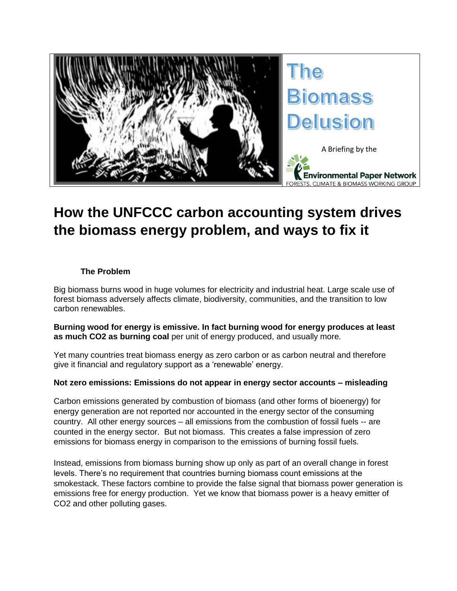

# **How the UNFCCC carbon accounting system drives the biomass energy problem, and ways to fix it**

### **The Problem**

Big biomass burns wood in huge volumes for electricity and industrial heat. Large scale use of forest biomass adversely affects climate, biodiversity, communities, and the transition to low carbon renewables.

**Burning wood for energy is emissive. In fact burning wood for energy produces at least as much CO2 as burning coal** per unit of energy produced, and usually more.

Yet many countries treat biomass energy as zero carbon or as carbon neutral and therefore give it financial and regulatory support as a 'renewable' energy.

#### **Not zero emissions: Emissions do not appear in energy sector accounts – misleading**

Carbon emissions generated by combustion of biomass (and other forms of bioenergy) for energy generation are not reported nor accounted in the energy sector of the consuming country. All other energy sources – all emissions from the combustion of fossil fuels -- are counted in the energy sector. But not biomass. This creates a false impression of zero emissions for biomass energy in comparison to the emissions of burning fossil fuels.

Instead, emissions from biomass burning show up only as part of an overall change in forest levels. There's no requirement that countries burning biomass count emissions at the smokestack. These factors combine to provide the false signal that biomass power generation is emissions free for energy production. Yet we know that biomass power is a heavy emitter of CO2 and other polluting gases.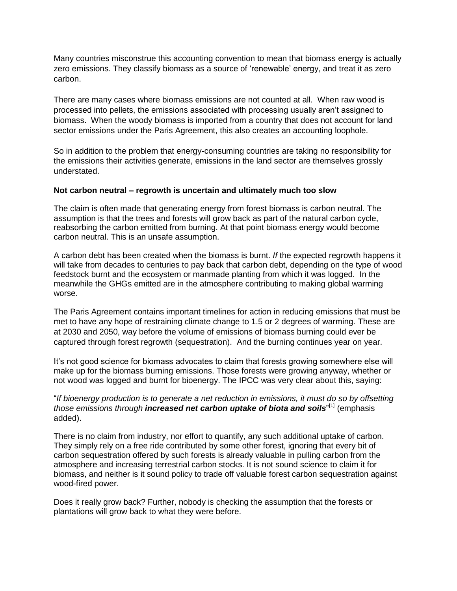Many countries misconstrue this accounting convention to mean that biomass energy is actually zero emissions. They classify biomass as a source of 'renewable' energy, and treat it as zero carbon.

There are many cases where biomass emissions are not counted at all. When raw wood is processed into pellets, the emissions associated with processing usually aren't assigned to biomass. When the woody biomass is imported from a country that does not account for land sector emissions under the Paris Agreement, this also creates an accounting loophole.

So in addition to the problem that energy-consuming countries are taking no responsibility for the emissions their activities generate, emissions in the land sector are themselves grossly understated.

#### **Not carbon neutral – regrowth is uncertain and ultimately much too slow**

The claim is often made that generating energy from forest biomass is carbon neutral. The assumption is that the trees and forests will grow back as part of the natural carbon cycle, reabsorbing the carbon emitted from burning. At that point biomass energy would become carbon neutral. This is an unsafe assumption.

A carbon debt has been created when the biomass is burnt. *If* the expected regrowth happens it will take from decades to centuries to pay back that carbon debt, depending on the type of wood feedstock burnt and the ecosystem or manmade planting from which it was logged. In the meanwhile the GHGs emitted are in the atmosphere contributing to making global warming worse.

The Paris Agreement contains important timelines for action in reducing emissions that must be met to have any hope of restraining climate change to 1.5 or 2 degrees of warming. These are at 2030 and 2050, way before the volume of emissions of biomass burning could ever be captured through forest regrowth (sequestration). And the burning continues year on year.

It's not good science for biomass advocates to claim that forests growing somewhere else will make up for the biomass burning emissions. Those forests were growing anyway, whether or not wood was logged and burnt for bioenergy. The IPCC was very clear about this, saying:

"*If bioenergy production is to generate a net reduction in emissions, it must do so by offsetting*  those emissions through **increased net carbon uptake of biota and soils**"<sup>[1]</sup> (emphasis added).

There is no claim from industry, nor effort to quantify, any such additional uptake of carbon. They simply rely on a free ride contributed by some other forest, ignoring that every bit of carbon sequestration offered by such forests is already valuable in pulling carbon from the atmosphere and increasing terrestrial carbon stocks. It is not sound science to claim it for biomass, and neither is it sound policy to trade off valuable forest carbon sequestration against wood-fired power.

Does it really grow back? Further, nobody is checking the assumption that the forests or plantations will grow back to what they were before.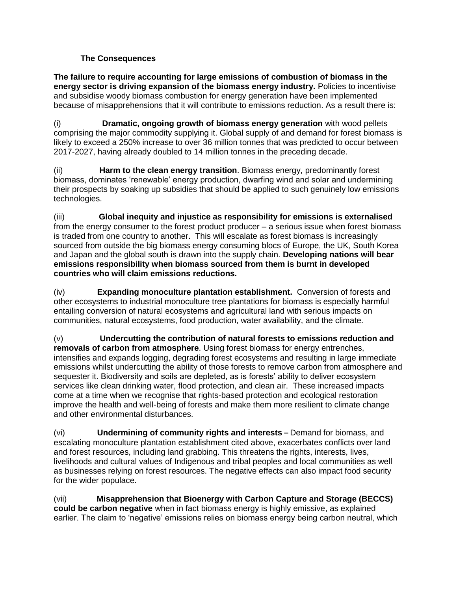## **The Consequences**

**The failure to require accounting for large emissions of combustion of biomass in the energy sector is driving expansion of the biomass energy industry.** Policies to incentivise and subsidise woody biomass combustion for energy generation have been implemented because of misapprehensions that it will contribute to emissions reduction. As a result there is:

(i) **Dramatic, ongoing growth of biomass energy generation** with wood pellets comprising the major commodity supplying it. Global supply of and demand for forest biomass is likely to exceed a 250% increase to over 36 million tonnes that was predicted to occur between 2017-2027, having already doubled to 14 million tonnes in the preceding decade.

(ii) **Harm to the clean energy transition**. Biomass energy, predominantly forest biomass, dominates 'renewable' energy production, dwarfing wind and solar and undermining their prospects by soaking up subsidies that should be applied to such genuinely low emissions technologies.

(iii) **Global inequity and injustice as responsibility for emissions is externalised** from the energy consumer to the forest product producer – a serious issue when forest biomass is traded from one country to another. This will escalate as forest biomass is increasingly sourced from outside the big biomass energy consuming blocs of Europe, the UK, South Korea and Japan and the global south is drawn into the supply chain. **Developing nations will bear emissions responsibility when biomass sourced from them is burnt in developed countries who will claim emissions reductions.**

(iv) **Expanding monoculture plantation establishment.** Conversion of forests and other ecosystems to industrial monoculture tree plantations for biomass is especially harmful entailing conversion of natural ecosystems and agricultural land with serious impacts on communities, natural ecosystems, food production, water availability, and the climate.

(v) **Undercutting the contribution of natural forests to emissions reduction and removals of carbon from atmosphere**. Using forest biomass for energy entrenches, intensifies and expands logging, degrading forest ecosystems and resulting in large immediate emissions whilst undercutting the ability of those forests to remove carbon from atmosphere and sequester it. Biodiversity and soils are depleted, as is forests' ability to deliver ecosystem services like clean drinking water, flood protection, and clean air. These increased impacts come at a time when we recognise that rights-based protection and ecological restoration improve the health and well-being of forests and make them more resilient to climate change and other environmental disturbances.

(vi) **Undermining of community rights and interests –** Demand for biomass, and escalating monoculture plantation establishment cited above, exacerbates conflicts over land and forest resources, including land grabbing. This threatens the rights, interests, lives, livelihoods and cultural values of Indigenous and tribal peoples and local communities as well as businesses relying on forest resources. The negative effects can also impact food security for the wider populace.

(vii) **Misapprehension that Bioenergy with Carbon Capture and Storage (BECCS) could be carbon negative** when in fact biomass energy is highly emissive, as explained earlier. The claim to 'negative' emissions relies on biomass energy being carbon neutral, which